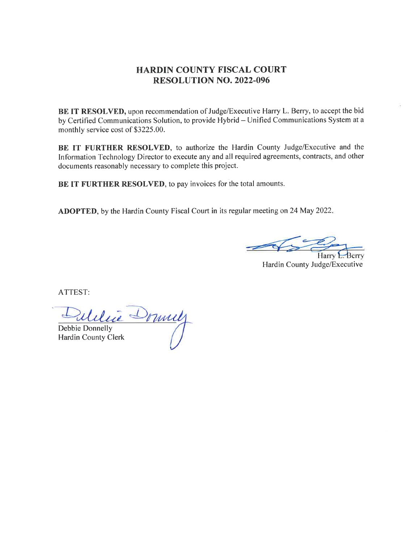## HARDIN COUNTY FISCAL COURT RESOLUTION NO. 2022.096

BE IT RESOLVED, upon recommendation of Judge/Executive Harry L. Berry, to accept the bid by Certified Communications Solution, to provide Hybrid - Unified Communications System at a monthly service cost of \$3225.00.

BE IT FURTHER RESOLVED, to authorize the Hardin County Judge/Executive and the Information Technology Director to execute any and all required agreements, contracts, and other documents reasonably necessary to complete this project.

BE IT FURTHER RESOLVED, to pay invoices for the total amounts.

ADOPTED, by the Hardin County Fiscal Court in its regular meeting on 24 May 2022.

Hardin County Judge/Executive

ATTEST:

Dulitie Donnelly

Hardin County Clerk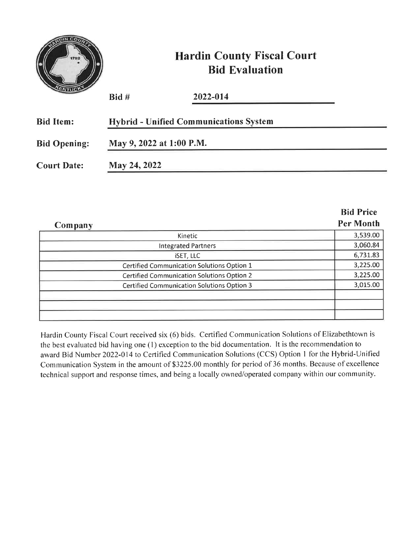| 1792                | <b>Hardin County Fiscal Court</b><br><b>Bid Evaluation</b> |                                               |  |  |
|---------------------|------------------------------------------------------------|-----------------------------------------------|--|--|
|                     | $B$ id #                                                   | 2022-014                                      |  |  |
| <b>Bid Item:</b>    |                                                            | <b>Hybrid - Unified Communications System</b> |  |  |
| <b>Bid Opening:</b> | May 9, 2022 at 1:00 P.M.                                   |                                               |  |  |
| <b>Court Date:</b>  | May 24, 2022                                               |                                               |  |  |

|                                                   | <b>Bid Price</b> |
|---------------------------------------------------|------------------|
| Company                                           | <b>Per Month</b> |
| Kinetic                                           | 3,539.00         |
| <b>Integrated Partners</b>                        | 3,060.84         |
| <b>iSET, LLC</b>                                  | 6,731.83         |
| Certified Communication Solutions Option 1        | 3,225.00         |
| <b>Certified Communication Solutions Option 2</b> | 3,225.00         |
| <b>Certified Communication Solutions Option 3</b> | 3,015.00         |
|                                                   |                  |
|                                                   |                  |
|                                                   |                  |

Hardin County Fiscal Court received six (6) bids. Certified Communication Solutions of Elizabethtown is the best evaluated bid having one (l) exception to the bid documentation. It is the recommendation to award Bid Number 2022-014 to Certified Communication Solutions (CCS) Option I for the Hybrid-Unified Communication System in the amount of \$3225.00 monthly for period of 36 months. Because of excellence technical support and response times, and being a locally owned/operated company within our community.